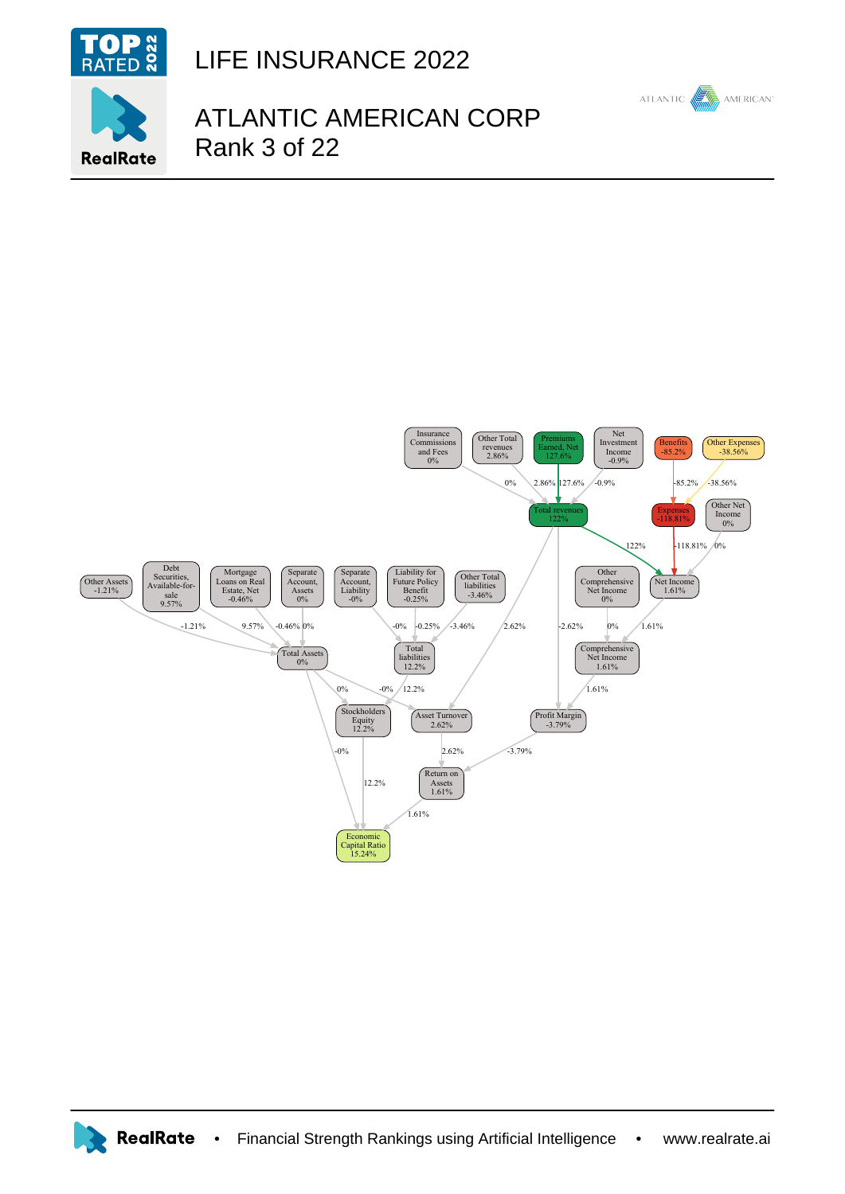

**RealRate** 

LIFE INSURANCE 2022

## ATLANTIC AMERICAN CORP Rank 3 of 22

ATLANTIC

**AMERICAN**<sup>®</sup>